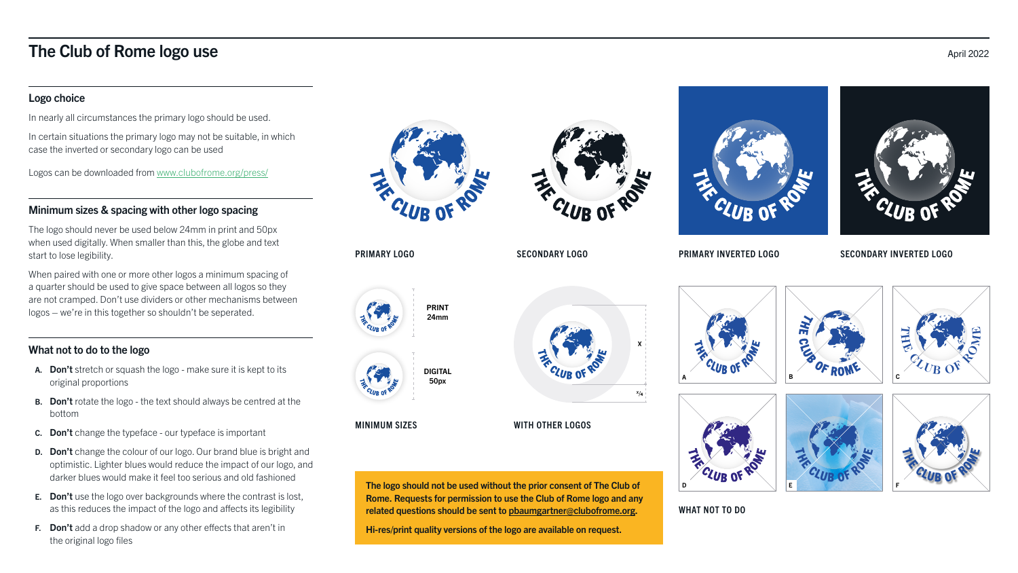## The Club of Rome logo use April 2022

### Logo choice

In nearly all circumstances the primary logo should be used.

In certain situations the primary logo may not be suitable, in which case the inverted or secondary logo can be used

Logos can be downloaded from [www.clubofrome.org/press/](https://www.clubofrome.org/press/)

### Minimum sizes & spacing with other logo spacing

The logo should never be used below 24mm in print and 50px when used digitally. When smaller than this, the globe and text start to lose legibility.

When paired with one or more other logos a minimum spacing of a quarter should be used to give space between all logos so they are not cramped. Don't use dividers or other mechanisms between logos – we're in this together so shouldn't be seperated.

- A. Don't stretch or squash the logo make sure it is kept to its original proportions
- **B.** Don't rotate the logo the text should always be centred at the bottom
- C. Don't change the typeface our typeface is important
- **D.** Don't change the colour of our logo. Our brand blue is bright and optimistic. Lighter blues would reduce the impact of our logo, and darker blues would make it feel too serious and old fashioned
- E. Don't use the logo over backgrounds where the contrast is lost, as this reduces the impact of the logo and affects its legibility
- F. Don't add a drop shadow or any other effects that aren't in the original logo files



### What not to do to the logo

#### PRIMARY LOGO

#### MINIMUM SIZES WITH OTHER LOGOS

WHAT NOT TO DO

#### SECONDARY LOGO PRIMARY INVERTED LOGO SECONDARY INVERTED LOGO



















The logo should not be used without the prior consent of The Club of Rome. Requests for permission to use the Club of Rome logo and any related questions should be sent to [pbaumgartner@clubofrome.org](mailto:pbaumgartner%40clubofrome.org?subject=Club%20of%20Rome%20logo%20enquiry).

Hi-res/print quality versions of the logo are available on request.